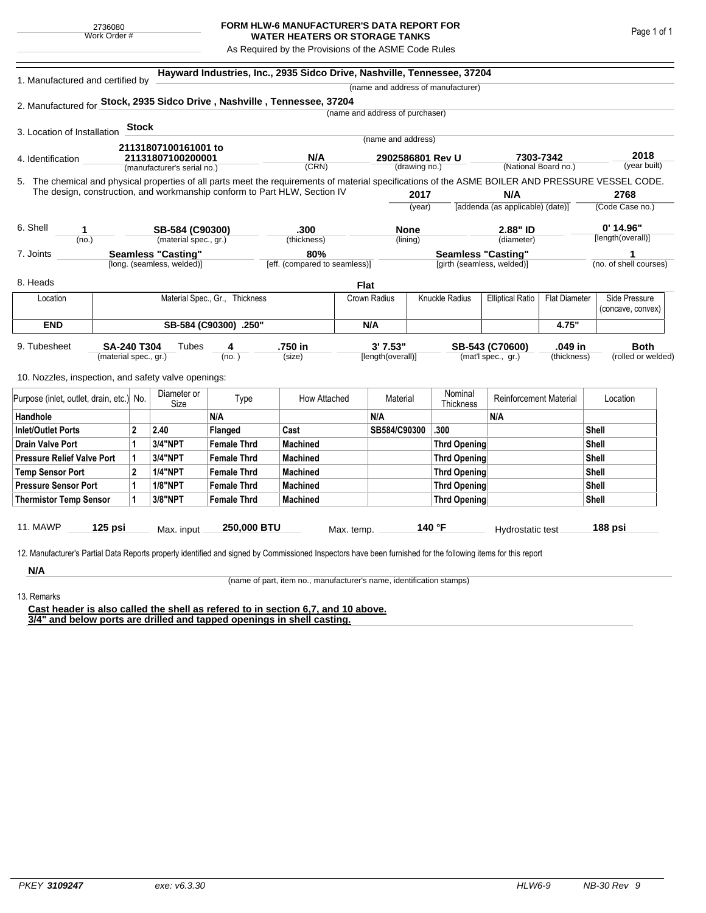## **FORM HLW-6 MANUFACTURER'S DATA REPORT FOR WATER HEATERS OR STORAGE TANKS**

As Required by the Provisions of the ASME Code Rules

| 1. Manufactured and certified by                    |                       |                                                  | Hayward Industries, Inc., 2935 Sidco Drive, Nashville, Tennessee, 37204<br>(name and address of manufacturer) |                                                                                                                                                    |                               |             |                                   |                |                            |                                   |                      |                 |                        |  |
|-----------------------------------------------------|-----------------------|--------------------------------------------------|---------------------------------------------------------------------------------------------------------------|----------------------------------------------------------------------------------------------------------------------------------------------------|-------------------------------|-------------|-----------------------------------|----------------|----------------------------|-----------------------------------|----------------------|-----------------|------------------------|--|
|                                                     |                       |                                                  |                                                                                                               | 2. Manufactured for Stock, 2935 Sidco Drive, Nashville, Tennessee, 37204                                                                           |                               |             |                                   |                |                            |                                   |                      |                 |                        |  |
|                                                     |                       |                                                  |                                                                                                               |                                                                                                                                                    |                               |             | (name and address of purchaser)   |                |                            |                                   |                      |                 |                        |  |
|                                                     |                       | <b>Stock</b>                                     |                                                                                                               |                                                                                                                                                    |                               |             |                                   |                |                            |                                   |                      |                 |                        |  |
| 3. Location of Installation                         |                       |                                                  |                                                                                                               |                                                                                                                                                    |                               |             | (name and address)                |                |                            |                                   |                      |                 |                        |  |
|                                                     |                       |                                                  | 21131807100161001 to                                                                                          |                                                                                                                                                    |                               |             |                                   |                |                            |                                   |                      |                 | 2018                   |  |
| 4. Identification                                   |                       | 21131807100200001<br>(manufacturer's serial no.) |                                                                                                               |                                                                                                                                                    | N/A<br>(CRN)                  |             | 2902586801 Rev U<br>(drawing no.) |                |                            | 7303-7342<br>(National Board no.) |                      |                 | (year built)           |  |
|                                                     |                       |                                                  |                                                                                                               | 5. The chemical and physical properties of all parts meet the requirements of material specifications of the ASME BOILER AND PRESSURE VESSEL CODE. |                               |             |                                   |                |                            |                                   |                      |                 |                        |  |
|                                                     |                       |                                                  |                                                                                                               | The design, construction, and workmanship conform to Part HLW, Section IV                                                                          |                               |             |                                   |                |                            | N/A                               |                      |                 | 2768                   |  |
|                                                     |                       |                                                  |                                                                                                               |                                                                                                                                                    |                               |             | 2017<br>(year)                    |                |                            | [addenda (as applicable) (date)]  |                      | (Code Case no.) |                        |  |
|                                                     |                       |                                                  |                                                                                                               |                                                                                                                                                    |                               |             |                                   |                |                            |                                   |                      |                 |                        |  |
| 6. Shell                                            | 1                     |                                                  | SB-584 (C90300)                                                                                               |                                                                                                                                                    | .300                          |             | <b>None</b>                       |                |                            | 2.88" ID                          |                      |                 | $0'$ 14.96"            |  |
|                                                     | (no.)                 |                                                  | (material spec., gr.)                                                                                         |                                                                                                                                                    | (thickness)                   |             | (lining)                          |                |                            | (diameter)                        |                      |                 | [length(overall)]      |  |
| 7. Joints                                           |                       |                                                  | <b>Seamless "Casting"</b>                                                                                     |                                                                                                                                                    | 80%                           |             |                                   |                | <b>Seamless "Casting"</b>  |                                   |                      |                 |                        |  |
|                                                     |                       |                                                  | [long. (seamless, welded)]                                                                                    |                                                                                                                                                    | [eff. (compared to seamless)] |             |                                   |                | [girth (seamless, welded)] |                                   |                      |                 | (no. of shell courses) |  |
| 8. Heads                                            |                       |                                                  |                                                                                                               |                                                                                                                                                    |                               | <b>Flat</b> |                                   |                |                            |                                   |                      |                 |                        |  |
| Location                                            |                       |                                                  |                                                                                                               | Material Spec., Gr., Thickness                                                                                                                     |                               |             | Crown Radius                      | Knuckle Radius |                            | <b>Elliptical Ratio</b>           | <b>Flat Diameter</b> | Side Pressure   |                        |  |
|                                                     |                       |                                                  |                                                                                                               |                                                                                                                                                    |                               |             |                                   |                |                            |                                   |                      |                 | (concave, convex)      |  |
| <b>END</b>                                          | SB-584 (C90300) .250" |                                                  |                                                                                                               |                                                                                                                                                    | N/A                           |             |                                   |                |                            | 4.75"                             |                      |                 |                        |  |
| 9. Tubesheet                                        | <b>SA-240 T304</b>    |                                                  | Tubes                                                                                                         | 4                                                                                                                                                  | .750 in                       |             | 3' 7.53"                          |                |                            | SB-543 (C70600)                   | .049 in              |                 | <b>Both</b>            |  |
|                                                     | (material spec., gr.) |                                                  |                                                                                                               | (no.)                                                                                                                                              | (size)                        |             | [length(overall)]                 |                |                            | (mat'l spec., gr.)                | (thickness)          |                 | (rolled or welded)     |  |
|                                                     |                       |                                                  |                                                                                                               |                                                                                                                                                    |                               |             |                                   |                |                            |                                   |                      |                 |                        |  |
| 10. Nozzles, inspection, and safety valve openings: |                       |                                                  |                                                                                                               |                                                                                                                                                    |                               |             |                                   |                |                            |                                   |                      |                 |                        |  |
| Purpose (inlet, outlet, drain, etc.) No.            |                       |                                                  | Diameter or<br>Size                                                                                           | Type                                                                                                                                               | How Attached                  |             | Material                          |                | Nominal<br>Thickness       | <b>Reinforcement Material</b>     |                      | Location        |                        |  |
| Handhole                                            |                       |                                                  |                                                                                                               | N/A                                                                                                                                                |                               |             | N/A                               |                |                            | N/A                               |                      |                 |                        |  |
| <b>Inlet/Outlet Ports</b>                           |                       | $\mathbf{2}$                                     | 2.40                                                                                                          | Flanged                                                                                                                                            | Cast                          |             | SB584/C90300                      |                | .300                       |                                   |                      | Shell           |                        |  |
| <b>Drain Valve Port</b>                             |                       | 1                                                | <b>3/4"NPT</b>                                                                                                | <b>Female Thrd</b>                                                                                                                                 | <b>Machined</b>               |             |                                   |                | <b>Thrd Opening</b>        |                                   |                      | Shell           |                        |  |
| <b>Pressure Relief Valve Port</b>                   |                       | 1                                                | 3/4"NPT                                                                                                       | <b>Female Thrd</b>                                                                                                                                 | <b>Machined</b>               |             |                                   |                | Thrd Opening               |                                   |                      | Shell           |                        |  |
| <b>Temp Sensor Port</b>                             |                       | $\mathbf{2}$                                     | <b>1/4"NPT</b>                                                                                                | <b>Female Thrd</b>                                                                                                                                 | <b>Machined</b>               |             |                                   |                | Thrd Opening               |                                   |                      | <b>Shell</b>    |                        |  |
| <b>Pressure Sensor Port</b>                         |                       | 1                                                | <b>1/8"NPT</b>                                                                                                | <b>Female Thrd</b>                                                                                                                                 | <b>Machined</b>               |             |                                   |                | Thrd Opening               |                                   |                      | <b>Shell</b>    |                        |  |
| <b>Thermistor Temp Sensor</b>                       |                       | 1                                                | 3/8"NPT                                                                                                       | <b>Female Thrd</b>                                                                                                                                 | <b>Machined</b>               |             |                                   |                | Thrd Opening               |                                   |                      | Shell           |                        |  |
|                                                     |                       |                                                  |                                                                                                               |                                                                                                                                                    |                               |             |                                   |                |                            |                                   |                      |                 |                        |  |
| 11. MAWP                                            | $125$ psi             |                                                  | Max. input                                                                                                    | 250,000 BTU                                                                                                                                        |                               | Max. temp.  |                                   | 140 °F         |                            | Hydrostatic test                  |                      |                 | 188 psi                |  |

**N/A** 13. Remarks

(name of part, item no., manufacturer's name, identification stamps)

**Cast header is also called the shell as refered to in section 6,7, and 10 above. 3/4" and below ports are drilled and tapped openings in shell casting.**